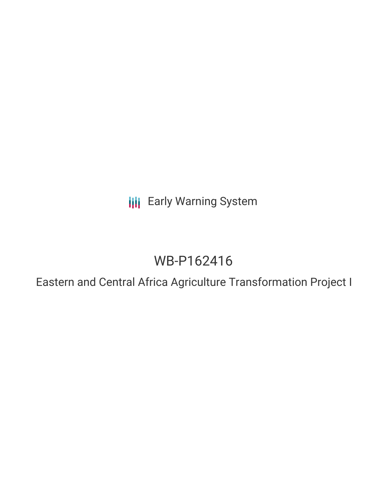**III** Early Warning System

# WB-P162416

Eastern and Central Africa Agriculture Transformation Project I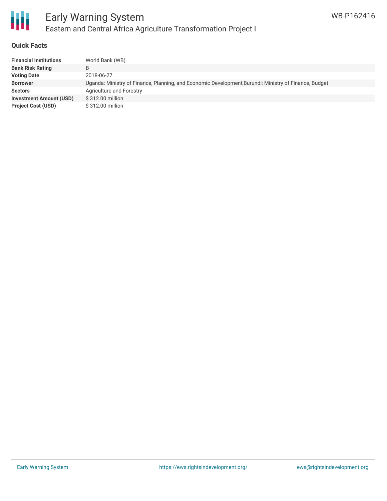

#### **Quick Facts**

| <b>Financial Institutions</b>  | World Bank (WB)                                                                                       |
|--------------------------------|-------------------------------------------------------------------------------------------------------|
| <b>Bank Risk Rating</b>        | B                                                                                                     |
| <b>Voting Date</b>             | 2018-06-27                                                                                            |
| <b>Borrower</b>                | Uganda: Ministry of Finance, Planning, and Economic Development, Burundi: Ministry of Finance, Budget |
| <b>Sectors</b>                 | Agriculture and Forestry                                                                              |
| <b>Investment Amount (USD)</b> | \$312.00 million                                                                                      |
| <b>Project Cost (USD)</b>      | $$312.00$ million                                                                                     |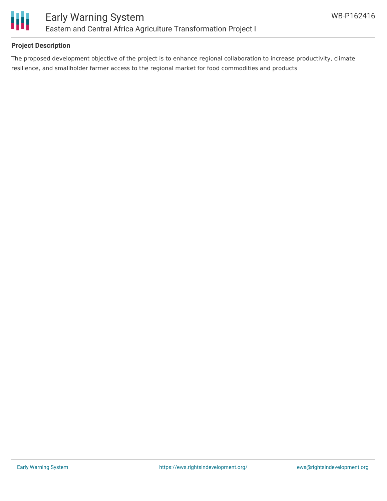

# **Project Description**

The proposed development objective of the project is to enhance regional collaboration to increase productivity, climate resilience, and smallholder farmer access to the regional market for food commodities and products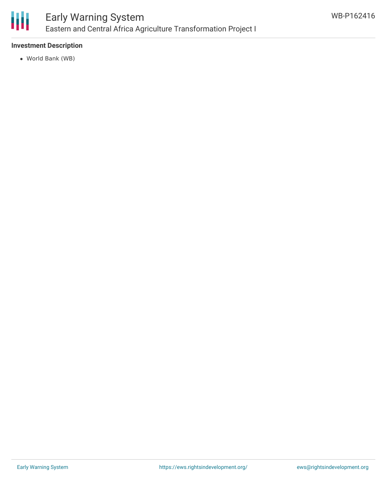

### **Investment Description**

World Bank (WB)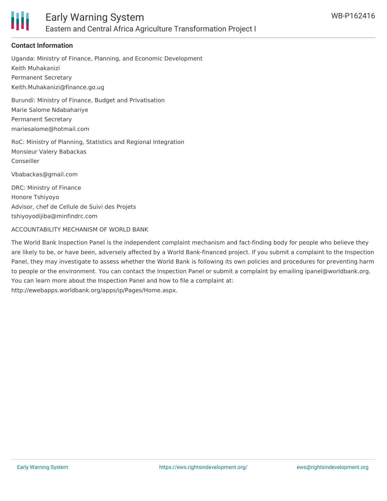

# **Contact Information**

Uganda: Ministry of Finance, Planning, and Economic Development Keith Muhakanizi Permanent Secretary Keith.Muhakanizi@finance.go.ug

Burundi: Ministry of Finance, Budget and Privatisation Marie Salome Ndabahariye Permanent Secretary mariesalome@hotmail.com

RoC: Ministry of Planning, Statistics and Regional Integration Monsieur Valery Babackas Conseiller

Vbabackas@gmail.com

DRC: Ministry of Finance Honore Tshiyoyo Advisor, chef de Cellule de Suivi des Projets tshiyoyodijiba@minfindrc.com

#### ACCOUNTABILITY MECHANISM OF WORLD BANK

The World Bank Inspection Panel is the independent complaint mechanism and fact-finding body for people who believe they are likely to be, or have been, adversely affected by a World Bank-financed project. If you submit a complaint to the Inspection Panel, they may investigate to assess whether the World Bank is following its own policies and procedures for preventing harm to people or the environment. You can contact the Inspection Panel or submit a complaint by emailing ipanel@worldbank.org. You can learn more about the Inspection Panel and how to file a complaint at: http://ewebapps.worldbank.org/apps/ip/Pages/Home.aspx.